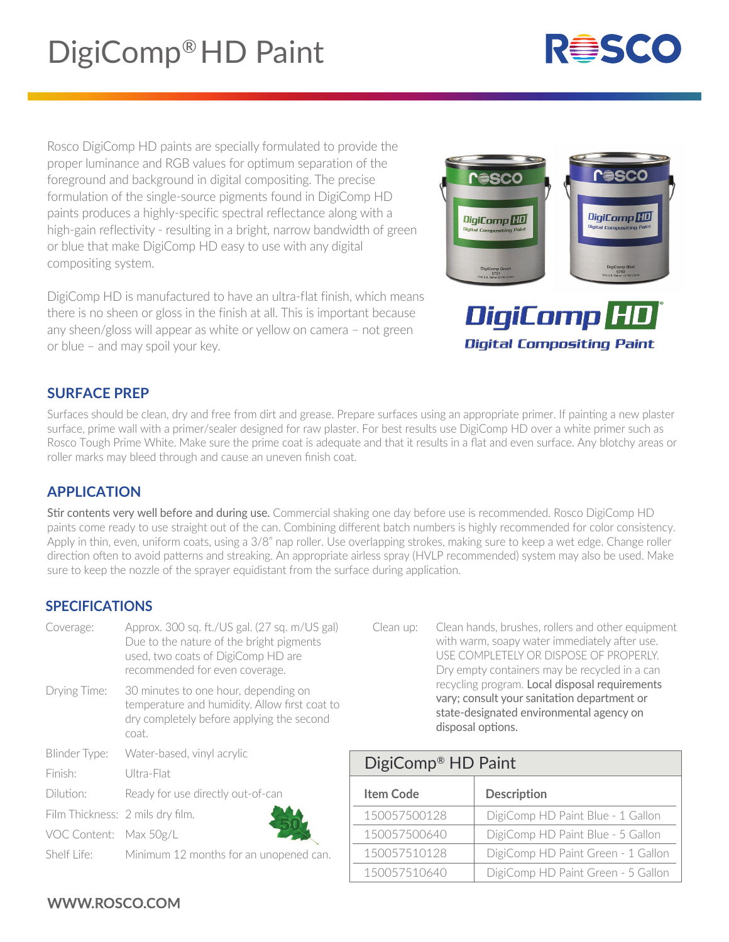Rosco DigiComp HD paints are specially formulated to provide the proper luminance and RGB values for optimum separation of the foreground and background in digital compositing. The precise formulation of the single-source pigments found in DigiComp HD paints produces a highly-specific spectral reflectance along with a high-gain reflectivity - resulting in a bright, narrow bandwidth of green or blue that make DigiComp HD easy to use with any digital compositing system.

DigiComp HD is manufactured to have an ultra-flat finish, which means there is no sheen or gloss in the finish at all. This is important because any sheen/gloss will appear as white or yellow on camera – not green or blue – and may spoil your key.

# **SURFACE PREP**

Surfaces should be clean, dry and free from dirt and grease. Prepare surfaces using an appropriate primer. If painting a new plaster surface, prime wall with a primer/sealer designed for raw plaster. For best results use DigiComp HD over a white primer such as Rosco Tough Prime White. Make sure the prime coat is adequate and that it results in a flat and even surface. Any blotchy areas or roller marks may bleed through and cause an uneven finish coat.

# **APPLICATION**

Stir contents very well before and during use. Commercial shaking one day before use is recommended. Rosco DigiComp HD paints come ready to use straight out of the can. Combining different batch numbers is highly recommended for color consistency. Apply in thin, even, uniform coats, using a 3/8" nap roller. Use overlapping strokes, making sure to keep a wet edge. Change roller direction often to avoid patterns and streaking. An appropriate airless spray (HVLP recommended) system may also be used. Make sure to keep the nozzle of the sprayer equidistant from the surface during application.

# **SPECIFICATIONS**

| Coverage:                        | Approx. 300 sq. ft./US gal. (27 sq. m/US gal)<br>Due to the nature of the bright pigments<br>used, two coats of DigiComp HD are<br>recommended for even coverage. |  |
|----------------------------------|-------------------------------------------------------------------------------------------------------------------------------------------------------------------|--|
| Drying Time:                     | 30 minutes to one hour, depending on<br>temperature and humidity. Allow first coat to<br>dry completely before applying the second<br>coat.                       |  |
| Blinder Type:                    | Water-based, vinyl acrylic                                                                                                                                        |  |
| Finish:                          | Ultra-Flat                                                                                                                                                        |  |
| Dilution:                        | Ready for use directly out-of-can                                                                                                                                 |  |
| Film Thickness: 2 mils dry film. |                                                                                                                                                                   |  |
| VOC Content: Max 50g/L           |                                                                                                                                                                   |  |
| Shelf Life:                      | Minimum 12 months for an unopened can.                                                                                                                            |  |

### with warm, soapy water immediately after use. USE COMPLETELY OR DISPOSE OF PROPERLY. Dry empty containers may be recycled in a can recycling program. Local disposal requirements vary; consult your sanitation department or state-designated environmental agency on disposal options.

Clean up: Clean hands, brushes, rollers and other equipment

| DigiComp <sup>®</sup> HD Paint |                                    |  |  |
|--------------------------------|------------------------------------|--|--|
| <b>Item Code</b>               | <b>Description</b>                 |  |  |
| 150057500128                   | DigiComp HD Paint Blue - 1 Gallon  |  |  |
| 150057500640                   | DigiComp HD Paint Blue - 5 Gallon  |  |  |
| 150057510128                   | DigiComp HD Paint Green - 1 Gallon |  |  |
| 150057510640                   | DigiComp HD Paint Green - 5 Gallon |  |  |

# WWW.ROSCO.COM

DigiComp<sup>[HD]</sup> **DigiComp<sup>HD</sup>**